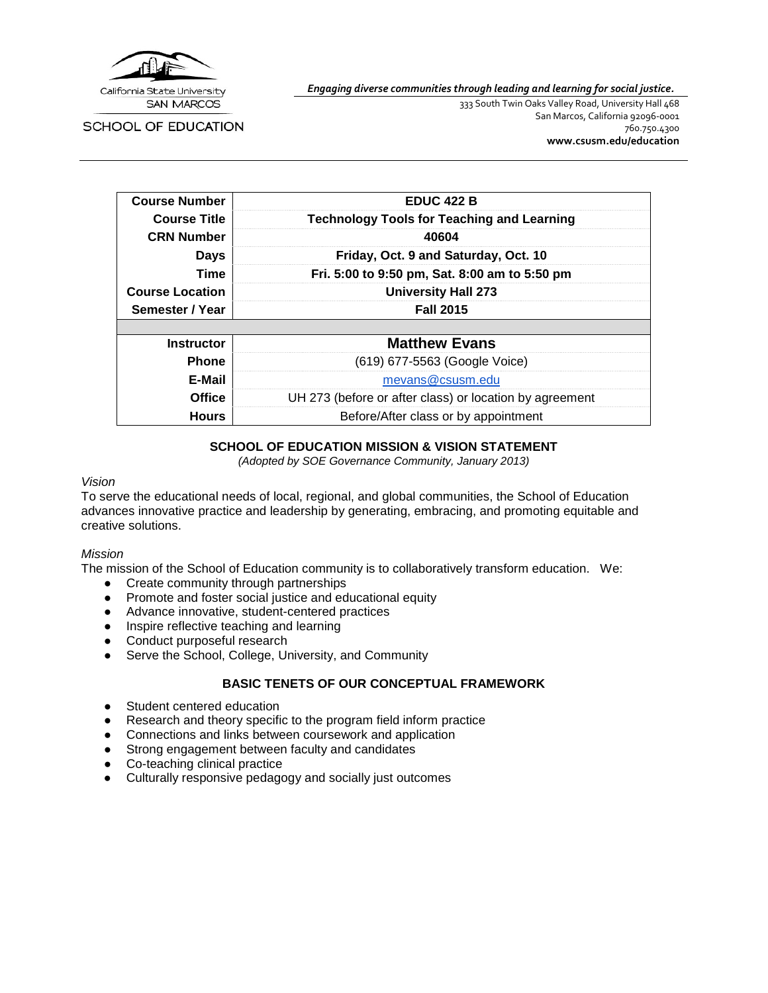

*Engaging diverse communities through leading and learning for social justice.*

SCHOOL OF EDUCATION

333 South Twin Oaks Valley Road, University Hall 468 San Marcos, California 92096-0001 760.750.4300 **[www.csusm.edu/education](http://www.csusm.edu/education)**

| <b>Course Number</b>   | <b>EDUC 422 B</b>                                       |  |
|------------------------|---------------------------------------------------------|--|
| <b>Course Title</b>    | <b>Technology Tools for Teaching and Learning</b>       |  |
| <b>CRN Number</b>      | 40604                                                   |  |
| <b>Days</b>            | Friday, Oct. 9 and Saturday, Oct. 10                    |  |
| <b>Time</b>            | Fri. 5:00 to 9:50 pm, Sat. 8:00 am to 5:50 pm           |  |
| <b>Course Location</b> | <b>University Hall 273</b>                              |  |
| Semester / Year        | <b>Fall 2015</b>                                        |  |
|                        |                                                         |  |
| <b>Instructor</b>      | <b>Matthew Evans</b>                                    |  |
| <b>Phone</b>           | (619) 677-5563 (Google Voice)                           |  |
| E-Mail                 | mevans@csusm.edu                                        |  |
| <b>Office</b>          | UH 273 (before or after class) or location by agreement |  |
| <b>Hours</b>           | Before/After class or by appointment                    |  |

#### **SCHOOL OF EDUCATION MISSION & VISION STATEMENT**

*(Adopted by SOE Governance Community, January 2013)*

#### *Vision*

To serve the educational needs of local, regional, and global communities, the School of Education advances innovative practice and leadership by generating, embracing, and promoting equitable and creative solutions.

#### *Mission*

The mission of the School of Education community is to collaboratively transform education. We:

- Create community through partnerships
- Promote and foster social justice and educational equity
- Advance innovative, student-centered practices
- Inspire reflective teaching and learning
- Conduct purposeful research
- Serve the School, College, University, and Community

### **BASIC TENETS OF OUR CONCEPTUAL FRAMEWORK**

- Student centered education
- Research and theory specific to the program field inform practice
- Connections and links between coursework and application
- Strong engagement between faculty and candidates
- Co-teaching clinical practice
- Culturally responsive pedagogy and socially just outcomes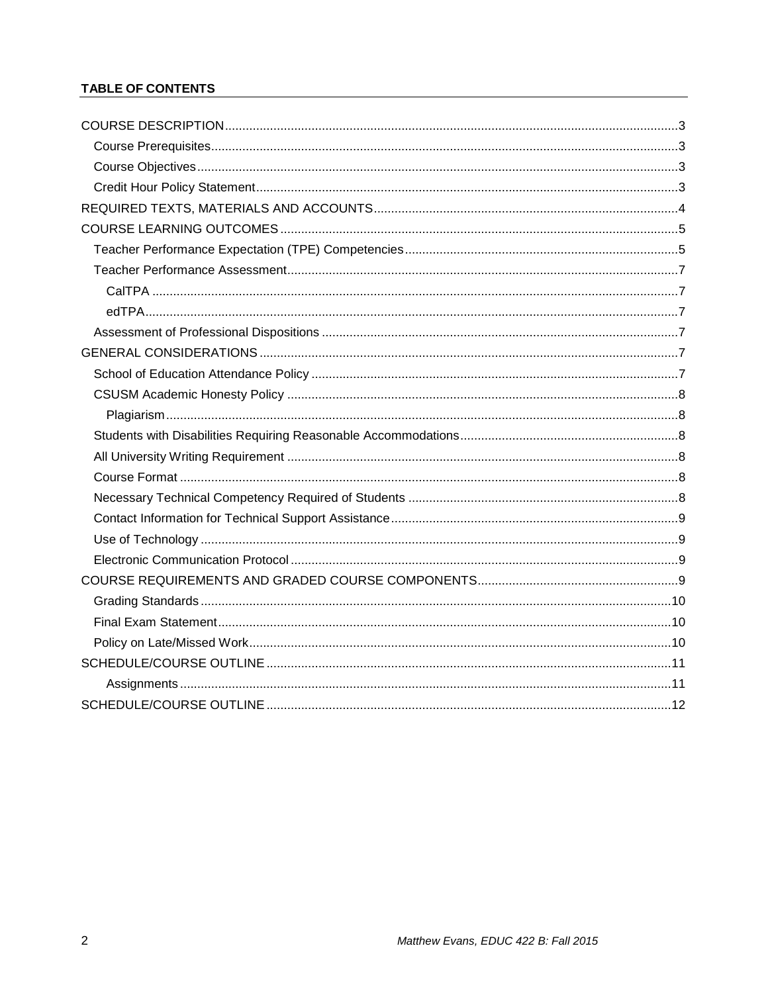## **TABLE OF CONTENTS**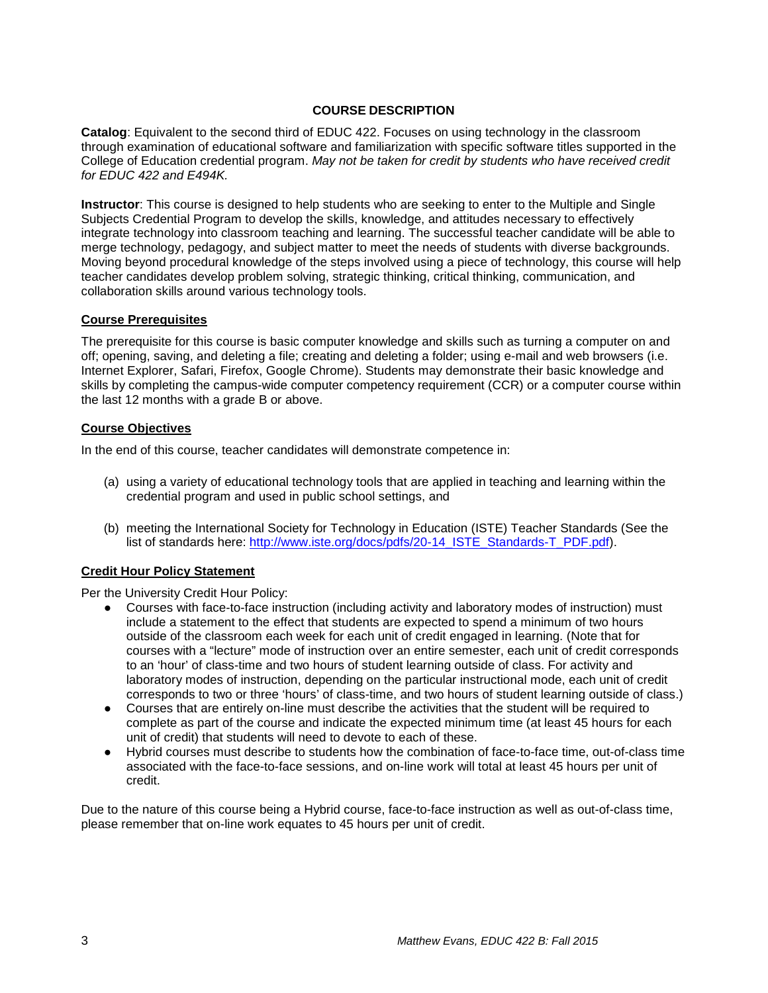### **COURSE DESCRIPTION**

<span id="page-2-0"></span>**Catalog**: Equivalent to the second third of EDUC 422. Focuses on using technology in the classroom through examination of educational software and familiarization with specific software titles supported in the College of Education credential program. *May not be taken for credit by students who have received credit for EDUC 422 and E494K.*

**Instructor**: This course is designed to help students who are seeking to enter to the Multiple and Single Subjects Credential Program to develop the skills, knowledge, and attitudes necessary to effectively integrate technology into classroom teaching and learning. The successful teacher candidate will be able to merge technology, pedagogy, and subject matter to meet the needs of students with diverse backgrounds. Moving beyond procedural knowledge of the steps involved using a piece of technology, this course will help teacher candidates develop problem solving, strategic thinking, critical thinking, communication, and collaboration skills around various technology tools.

#### <span id="page-2-1"></span>**Course Prerequisites**

The prerequisite for this course is basic computer knowledge and skills such as turning a computer on and off; opening, saving, and deleting a file; creating and deleting a folder; using e-mail and web browsers (i.e. Internet Explorer, Safari, Firefox, Google Chrome). Students may demonstrate their basic knowledge and skills by completing the campus-wide computer competency requirement (CCR) or a computer course within the last 12 months with a grade B or above.

#### <span id="page-2-2"></span>**Course Objectives**

In the end of this course, teacher candidates will demonstrate competence in:

- (a) using a variety of educational technology tools that are applied in teaching and learning within the credential program and used in public school settings, and
- (b) meeting the International Society for Technology in Education (ISTE) Teacher Standards (See the list of standards here: [http://www.iste.org/docs/pdfs/20-14\\_ISTE\\_Standards-T\\_PDF.pdf\)](http://www.iste.org/docs/pdfs/20-14_ISTE_Standards-T_PDF.pdf).

### <span id="page-2-3"></span>**Credit Hour Policy Statement**

Per the University Credit Hour Policy:

- Courses with face-to-face instruction (including activity and laboratory modes of instruction) must include a statement to the effect that students are expected to spend a minimum of two hours outside of the classroom each week for each unit of credit engaged in learning. (Note that for courses with a "lecture" mode of instruction over an entire semester, each unit of credit corresponds to an 'hour' of class-time and two hours of student learning outside of class. For activity and laboratory modes of instruction, depending on the particular instructional mode, each unit of credit corresponds to two or three 'hours' of class-time, and two hours of student learning outside of class.)
- Courses that are entirely on-line must describe the activities that the student will be required to complete as part of the course and indicate the expected minimum time (at least 45 hours for each unit of credit) that students will need to devote to each of these.
- Hybrid courses must describe to students how the combination of face-to-face time, out-of-class time associated with the face-to-face sessions, and on-line work will total at least 45 hours per unit of credit.

Due to the nature of this course being a Hybrid course, face-to-face instruction as well as out-of-class time, please remember that on-line work equates to 45 hours per unit of credit.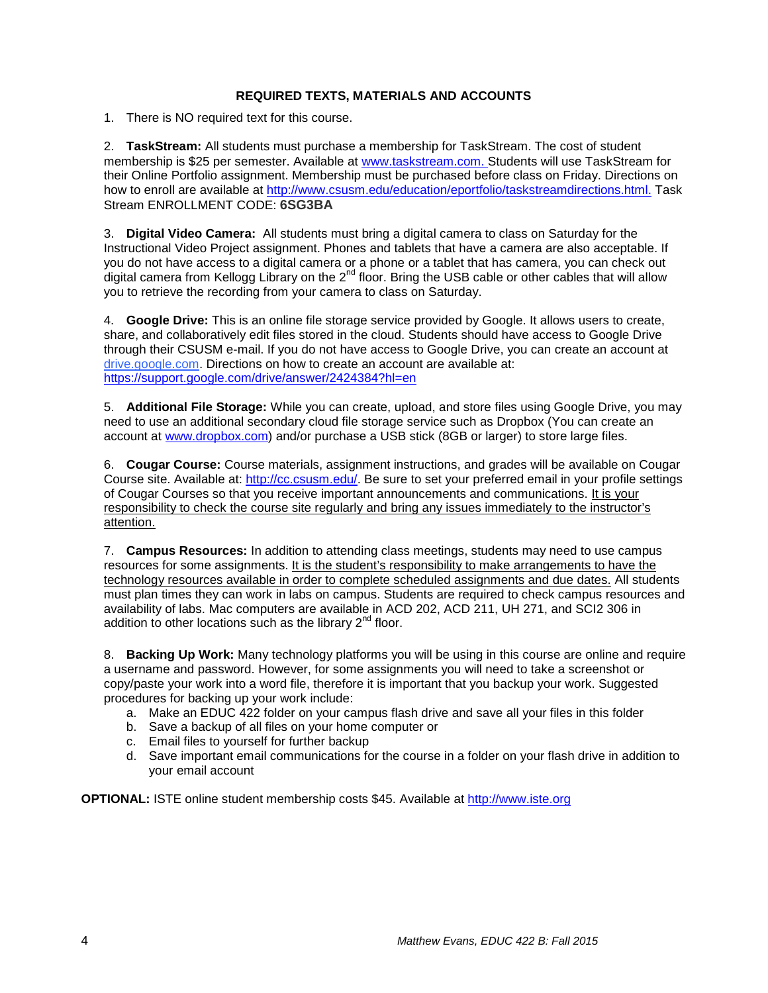### **REQUIRED TEXTS, MATERIALS AND ACCOUNTS**

<span id="page-3-0"></span>1. There is NO required text for this course.

2. **TaskStream:** All students must purchase a membership for TaskStream. The cost of student membership is \$25 per semester. Available at [www.taskstream.com.](http://www.taskstream.com/) Students will use TaskStream for their Online Portfolio assignment. Membership must be purchased before class on Friday. Directions on how to enroll are available at [http://www.csusm.edu/education/eportfolio/taskstreamdirections.html.](http://www.csusm.edu/education/eportfolio/taskstreamdirections.html) Task Stream ENROLLMENT CODE: **6SG3BA**

3. **Digital Video Camera:** All students must bring a digital camera to class on Saturday for the Instructional Video Project assignment. Phones and tablets that have a camera are also acceptable. If you do not have access to a digital camera or a phone or a tablet that has camera, you can check out digital camera from Kellogg Library on the 2<sup>nd</sup> floor. Bring the USB cable or other cables that will allow you to retrieve the recording from your camera to class on Saturday.

4. **Google Drive:** This is an online file storage service provided by Google. It allows users to create, share, and collaboratively edit files stored in the cloud. Students should have access to Google Drive through their CSUSM e-mail. If you do not have access to Google Drive, you can create an account at drive.google.com. Directions on how to create an account are available at: <https://support.google.com/drive/answer/2424384?hl=en>

5. **Additional File Storage:** While you can create, upload, and store files using Google Drive, you may need to use an additional secondary cloud file storage service such as Dropbox (You can create an account at [www.dropbox.com\)](http://www.dropbox.com/) and/or purchase a USB stick (8GB or larger) to store large files.

6. **Cougar Course:** Course materials, assignment instructions, and grades will be available on Cougar Course site. Available at: [http://cc.csusm.edu/.](http://cc.csusm.edu/) Be sure to set your preferred email in your profile settings of Cougar Courses so that you receive important announcements and communications. It is your responsibility to check the course site regularly and bring any issues immediately to the instructor's attention.

7. **Campus Resources:** In addition to attending class meetings, students may need to use campus resources for some assignments. It is the student's responsibility to make arrangements to have the technology resources available in order to complete scheduled assignments and due dates. All students must plan times they can work in labs on campus. Students are required to check campus resources and availability of labs. Mac computers are available in ACD 202, ACD 211, UH 271, and SCI2 306 in addition to other locations such as the library  $2<sup>nd</sup>$  floor.

8. **Backing Up Work:** Many technology platforms you will be using in this course are online and require a username and password. However, for some assignments you will need to take a screenshot or copy/paste your work into a word file, therefore it is important that you backup your work. Suggested procedures for backing up your work include:

- a. Make an EDUC 422 folder on your campus flash drive and save all your files in this folder
- b. Save a backup of all files on your home computer or
- c. Email files to yourself for further backup
- d. Save important email communications for the course in a folder on your flash drive in addition to your email account

**OPTIONAL:** ISTE online student membership costs \$45. Available at [http://www.iste.org](http://www.iste.org/)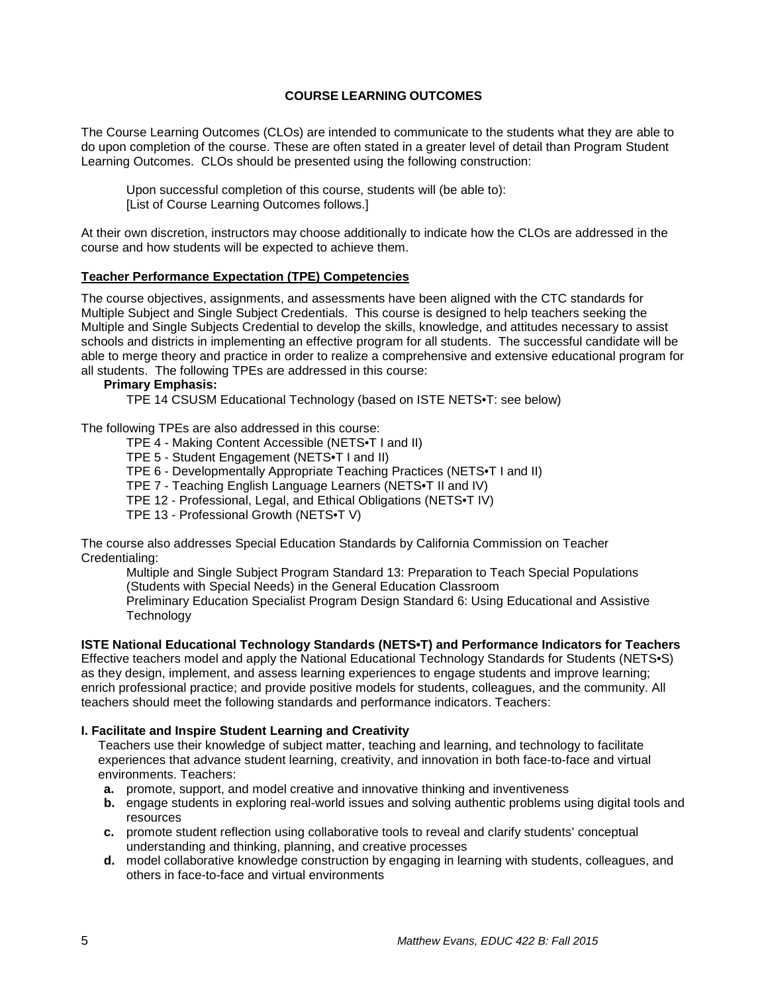### **COURSE LEARNING OUTCOMES**

<span id="page-4-0"></span>The Course Learning Outcomes (CLOs) are intended to communicate to the students what they are able to do upon completion of the course. These are often stated in a greater level of detail than Program Student Learning Outcomes. CLOs should be presented using the following construction:

Upon successful completion of this course, students will (be able to): [List of Course Learning Outcomes follows.]

At their own discretion, instructors may choose additionally to indicate how the CLOs are addressed in the course and how students will be expected to achieve them.

#### <span id="page-4-1"></span>**Teacher Performance Expectation (TPE) Competencies**

The course objectives, assignments, and assessments have been aligned with the CTC standards for Multiple Subject and Single Subject Credentials. This course is designed to help teachers seeking the Multiple and Single Subjects Credential to develop the skills, knowledge, and attitudes necessary to assist schools and districts in implementing an effective program for all students. The successful candidate will be able to merge theory and practice in order to realize a comprehensive and extensive educational program for all students. The following TPEs are addressed in this course:

#### **Primary Emphasis:**

TPE 14 CSUSM Educational Technology (based on ISTE NETS•T: see below)

The following TPEs are also addressed in this course:

- TPE 4 Making Content Accessible (NETS•T I and II)
- TPE 5 Student Engagement (NETS•T I and II)
- TPE 6 Developmentally Appropriate Teaching Practices (NETS•T I and II)

TPE 7 - Teaching English Language Learners (NETS•T II and IV)

- TPE 12 Professional, Legal, and Ethical Obligations (NETS•T IV)
- TPE 13 Professional Growth (NETS•T V)

The course also addresses Special Education Standards by California Commission on Teacher Credentialing:

Multiple and Single Subject Program Standard 13: Preparation to Teach Special Populations (Students with Special Needs) in the General Education Classroom Preliminary Education Specialist Program Design Standard 6: Using Educational and Assistive

**Technology** 

#### **ISTE National Educational Technology Standards (NETS•T) and Performance Indicators for Teachers**

Effective teachers model and apply the National Educational Technology Standards for Students (NETS•S) as they design, implement, and assess learning experiences to engage students and improve learning; enrich professional practice; and provide positive models for students, colleagues, and the community. All teachers should meet the following standards and performance indicators. Teachers:

#### **I. Facilitate and Inspire Student Learning and Creativity**

Teachers use their knowledge of subject matter, teaching and learning, and technology to facilitate experiences that advance student learning, creativity, and innovation in both face-to-face and virtual environments. Teachers:

- **a.** promote, support, and model creative and innovative thinking and inventiveness
- **b.** engage students in exploring real-world issues and solving authentic problems using digital tools and resources
- **c.** promote student reflection using collaborative tools to reveal and clarify students' conceptual understanding and thinking, planning, and creative processes
- **d.** model collaborative knowledge construction by engaging in learning with students, colleagues, and others in face-to-face and virtual environments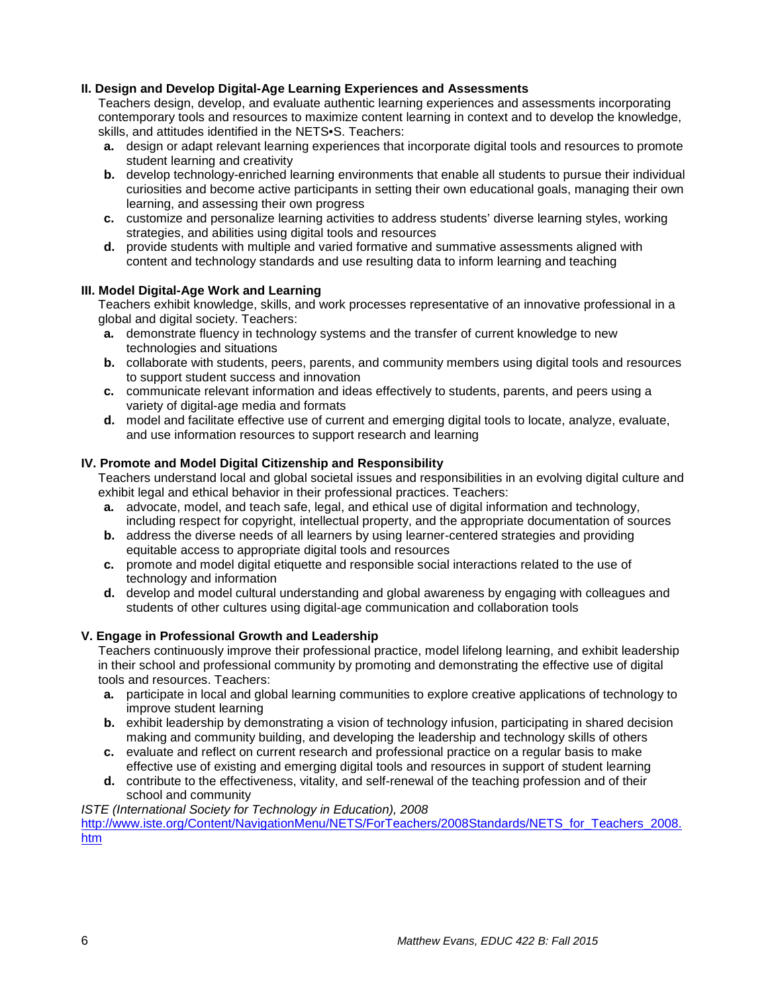#### **II. Design and Develop Digital-Age Learning Experiences and Assessments**

Teachers design, develop, and evaluate authentic learning experiences and assessments incorporating contemporary tools and resources to maximize content learning in context and to develop the knowledge, skills, and attitudes identified in the NETS•S. Teachers:

- **a.** design or adapt relevant learning experiences that incorporate digital tools and resources to promote student learning and creativity
- **b.** develop technology-enriched learning environments that enable all students to pursue their individual curiosities and become active participants in setting their own educational goals, managing their own learning, and assessing their own progress
- **c.** customize and personalize learning activities to address students' diverse learning styles, working strategies, and abilities using digital tools and resources
- **d.** provide students with multiple and varied formative and summative assessments aligned with content and technology standards and use resulting data to inform learning and teaching

#### **III. Model Digital-Age Work and Learning**

Teachers exhibit knowledge, skills, and work processes representative of an innovative professional in a global and digital society. Teachers:

- **a.** demonstrate fluency in technology systems and the transfer of current knowledge to new technologies and situations
- **b.** collaborate with students, peers, parents, and community members using digital tools and resources to support student success and innovation
- **c.** communicate relevant information and ideas effectively to students, parents, and peers using a variety of digital-age media and formats
- **d.** model and facilitate effective use of current and emerging digital tools to locate, analyze, evaluate, and use information resources to support research and learning

#### **IV. Promote and Model Digital Citizenship and Responsibility**

Teachers understand local and global societal issues and responsibilities in an evolving digital culture and exhibit legal and ethical behavior in their professional practices. Teachers:

- **a.** advocate, model, and teach safe, legal, and ethical use of digital information and technology, including respect for copyright, intellectual property, and the appropriate documentation of sources
- **b.** address the diverse needs of all learners by using learner-centered strategies and providing equitable access to appropriate digital tools and resources
- **c.** promote and model digital etiquette and responsible social interactions related to the use of technology and information
- **d.** develop and model cultural understanding and global awareness by engaging with colleagues and students of other cultures using digital-age communication and collaboration tools

### **V. Engage in Professional Growth and Leadership**

Teachers continuously improve their professional practice, model lifelong learning, and exhibit leadership in their school and professional community by promoting and demonstrating the effective use of digital tools and resources. Teachers:

- **a.** participate in local and global learning communities to explore creative applications of technology to improve student learning
- **b.** exhibit leadership by demonstrating a vision of technology infusion, participating in shared decision making and community building, and developing the leadership and technology skills of others
- **c.** evaluate and reflect on current research and professional practice on a regular basis to make effective use of existing and emerging digital tools and resources in support of student learning
- **d.** contribute to the effectiveness, vitality, and self-renewal of the teaching profession and of their school and community

*ISTE (International Society for Technology in Education), 2008*

[http://www.iste.org/Content/NavigationMenu/NETS/ForTeachers/2008Standards/NETS\\_for\\_Teachers\\_2008.](http://www.iste.org/Content/NavigationMenu/NETS/ForTeachers/2008Standards/NETS_for_Teachers_2008.htm) [htm](http://www.iste.org/Content/NavigationMenu/NETS/ForTeachers/2008Standards/NETS_for_Teachers_2008.htm)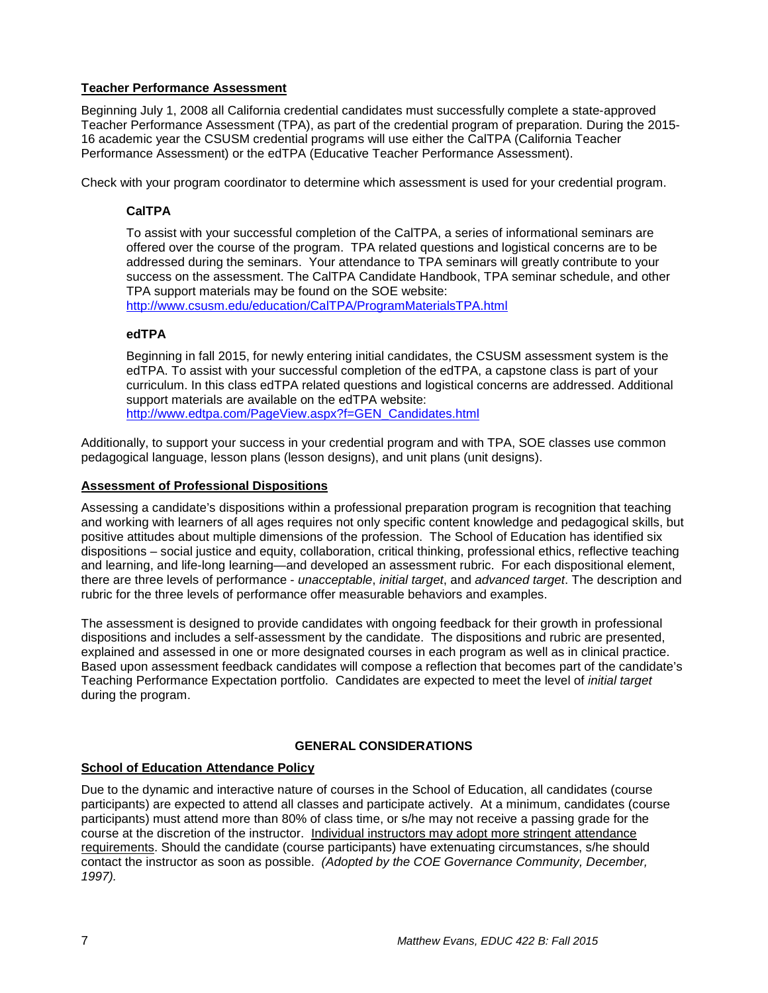### <span id="page-6-0"></span>**Teacher Performance Assessment**

Beginning July 1, 2008 all California credential candidates must successfully complete a state-approved Teacher Performance Assessment (TPA), as part of the credential program of preparation. During the 2015- 16 academic year the CSUSM credential programs will use either the CalTPA (California Teacher Performance Assessment) or the edTPA (Educative Teacher Performance Assessment).

<span id="page-6-1"></span>Check with your program coordinator to determine which assessment is used for your credential program.

## **CalTPA**

To assist with your successful completion of the CalTPA, a series of informational seminars are offered over the course of the program. TPA related questions and logistical concerns are to be addressed during the seminars. Your attendance to TPA seminars will greatly contribute to your success on the assessment. The CalTPA Candidate Handbook, TPA seminar schedule, and other TPA support materials may be found on the SOE website:

<http://www.csusm.edu/education/CalTPA/ProgramMaterialsTPA.html>

### <span id="page-6-2"></span>**edTPA**

Beginning in fall 2015, for newly entering initial candidates, the CSUSM assessment system is the edTPA. To assist with your successful completion of the edTPA, a capstone class is part of your curriculum. In this class edTPA related questions and logistical concerns are addressed. Additional support materials are available on the edTPA website: [http://www.edtpa.com/PageView.aspx?f=GEN\\_Candidates.html](http://www.edtpa.com/PageView.aspx?f=GEN_Candidates.html)

Additionally, to support your success in your credential program and with TPA, SOE classes use common pedagogical language, lesson plans (lesson designs), and unit plans (unit designs).

### <span id="page-6-3"></span>**Assessment of Professional Dispositions**

Assessing a candidate's dispositions within a professional preparation program is recognition that teaching and working with learners of all ages requires not only specific content knowledge and pedagogical skills, but positive attitudes about multiple dimensions of the profession. The School of Education has identified six dispositions – social justice and equity, collaboration, critical thinking, professional ethics, reflective teaching and learning, and life-long learning—and developed an assessment rubric. For each dispositional element, there are three levels of performance - *unacceptable*, *initial target*, and *advanced target*. The description and rubric for the three levels of performance offer measurable behaviors and examples.

The assessment is designed to provide candidates with ongoing feedback for their growth in professional dispositions and includes a self-assessment by the candidate. The dispositions and rubric are presented, explained and assessed in one or more designated courses in each program as well as in clinical practice. Based upon assessment feedback candidates will compose a reflection that becomes part of the candidate's Teaching Performance Expectation portfolio. Candidates are expected to meet the level of *initial target* during the program.

## **GENERAL CONSIDERATIONS**

### <span id="page-6-5"></span><span id="page-6-4"></span>**School of Education Attendance Policy**

Due to the dynamic and interactive nature of courses in the School of Education, all candidates (course participants) are expected to attend all classes and participate actively. At a minimum, candidates (course participants) must attend more than 80% of class time, or s/he may not receive a passing grade for the course at the discretion of the instructor. Individual instructors may adopt more stringent attendance requirements. Should the candidate (course participants) have extenuating circumstances, s/he should contact the instructor as soon as possible. *(Adopted by the COE Governance Community, December, 1997).*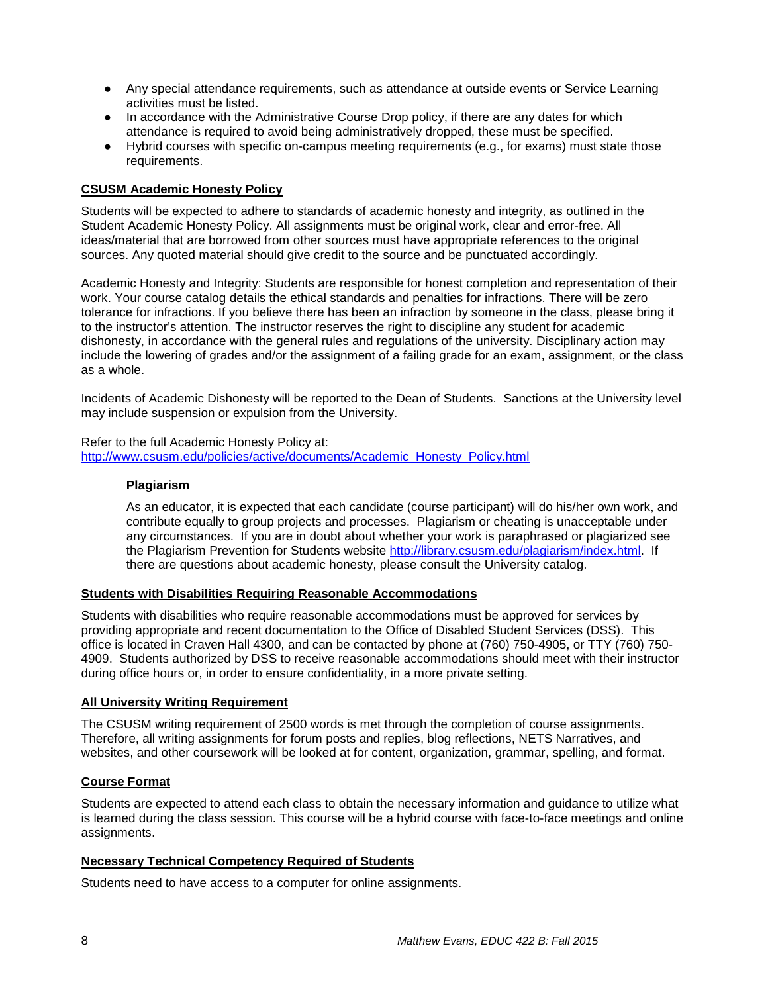- Any special attendance requirements, such as attendance at outside events or Service Learning activities must be listed.
- In accordance with the Administrative Course Drop policy, if there are any dates for which attendance is required to avoid being administratively dropped, these must be specified.
- Hybrid courses with specific on-campus meeting requirements (e.g., for exams) must state those requirements.

### <span id="page-7-0"></span>**CSUSM Academic Honesty Policy**

Students will be expected to adhere to standards of academic honesty and integrity, as outlined in the Student Academic Honesty Policy. All assignments must be original work, clear and error-free. All ideas/material that are borrowed from other sources must have appropriate references to the original sources. Any quoted material should give credit to the source and be punctuated accordingly.

Academic Honesty and Integrity: Students are responsible for honest completion and representation of their work. Your course catalog details the ethical standards and penalties for infractions. There will be zero tolerance for infractions. If you believe there has been an infraction by someone in the class, please bring it to the instructor's attention. The instructor reserves the right to discipline any student for academic dishonesty, in accordance with the general rules and regulations of the university. Disciplinary action may include the lowering of grades and/or the assignment of a failing grade for an exam, assignment, or the class as a whole.

Incidents of Academic Dishonesty will be reported to the Dean of Students. Sanctions at the University level may include suspension or expulsion from the University.

<span id="page-7-1"></span>Refer to the full Academic Honesty Policy at: [http://www.csusm.edu/policies/active/documents/Academic\\_Honesty\\_Policy.html](http://www.csusm.edu/policies/active/documents/Academic_Honesty_Policy.html)

#### **Plagiarism**

As an educator, it is expected that each candidate (course participant) will do his/her own work, and contribute equally to group projects and processes. Plagiarism or cheating is unacceptable under any circumstances. If you are in doubt about whether your work is paraphrased or plagiarized see the Plagiarism Prevention for Students website [http://library.csusm.edu/plagiarism/index.html.](http://library.csusm.edu/plagiarism/index.html) If there are questions about academic honesty, please consult the University catalog.

### <span id="page-7-2"></span>**Students with Disabilities Requiring Reasonable Accommodations**

Students with disabilities who require reasonable accommodations must be approved for services by providing appropriate and recent documentation to the Office of Disabled Student Services (DSS). This office is located in Craven Hall 4300, and can be contacted by phone at (760) 750-4905, or TTY (760) 750- 4909. Students authorized by DSS to receive reasonable accommodations should meet with their instructor during office hours or, in order to ensure confidentiality, in a more private setting.

#### <span id="page-7-3"></span>**All University Writing Requirement**

The CSUSM writing requirement of 2500 words is met through the completion of course assignments. Therefore, all writing assignments for forum posts and replies, blog reflections, NETS Narratives, and websites, and other coursework will be looked at for content, organization, grammar, spelling, and format.

#### <span id="page-7-4"></span>**Course Format**

Students are expected to attend each class to obtain the necessary information and guidance to utilize what is learned during the class session. This course will be a hybrid course with face-to-face meetings and online assignments.

#### <span id="page-7-5"></span>**Necessary Technical Competency Required of Students**

Students need to have access to a computer for online assignments.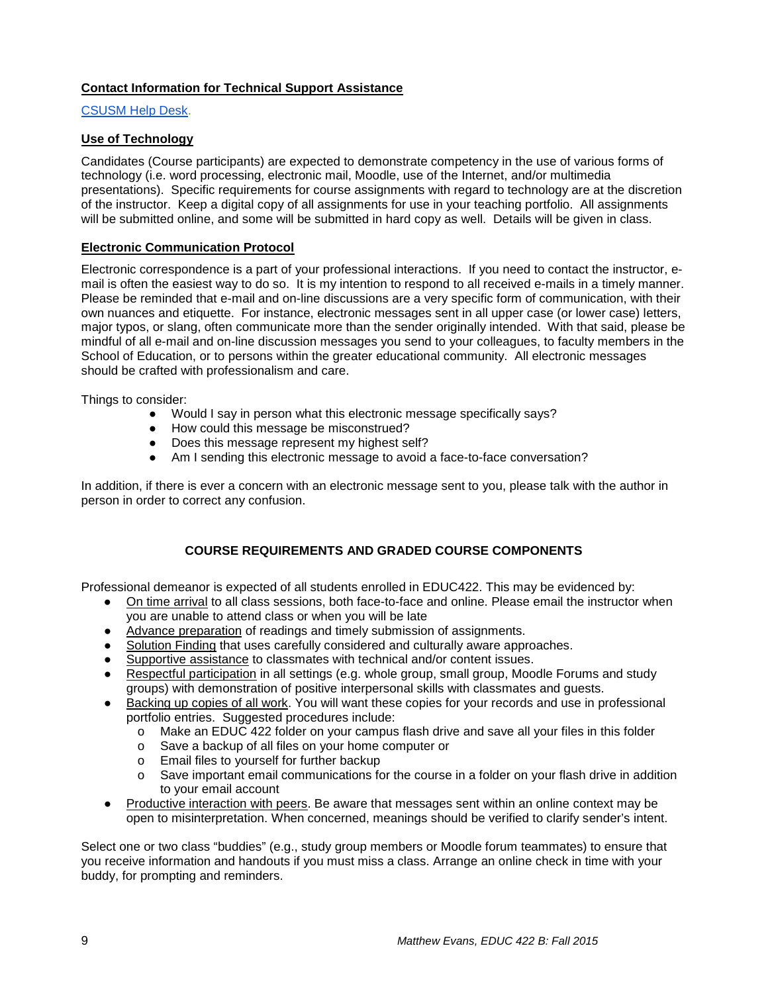### <span id="page-8-0"></span>**Contact Information for Technical Support Assistance**

### [CSUSM Help Desk.](https://www.csusm.edu/sth/)

## <span id="page-8-1"></span>**Use of Technology**

Candidates (Course participants) are expected to demonstrate competency in the use of various forms of technology (i.e. word processing, electronic mail, Moodle, use of the Internet, and/or multimedia presentations). Specific requirements for course assignments with regard to technology are at the discretion of the instructor. Keep a digital copy of all assignments for use in your teaching portfolio. All assignments will be submitted online, and some will be submitted in hard copy as well. Details will be given in class.

### <span id="page-8-2"></span>**Electronic Communication Protocol**

Electronic correspondence is a part of your professional interactions. If you need to contact the instructor, email is often the easiest way to do so. It is my intention to respond to all received e-mails in a timely manner. Please be reminded that e-mail and on-line discussions are a very specific form of communication, with their own nuances and etiquette. For instance, electronic messages sent in all upper case (or lower case) letters, major typos, or slang, often communicate more than the sender originally intended. With that said, please be mindful of all e-mail and on-line discussion messages you send to your colleagues, to faculty members in the School of Education, or to persons within the greater educational community. All electronic messages should be crafted with professionalism and care.

Things to consider:

- Would I say in person what this electronic message specifically says?
- How could this message be misconstrued?
- Does this message represent my highest self?
- Am I sending this electronic message to avoid a face-to-face conversation?

In addition, if there is ever a concern with an electronic message sent to you, please talk with the author in person in order to correct any confusion.

## **COURSE REQUIREMENTS AND GRADED COURSE COMPONENTS**

<span id="page-8-3"></span>Professional demeanor is expected of all students enrolled in EDUC422. This may be evidenced by:

- On time arrival to all class sessions, both face-to-face and online. Please email the instructor when you are unable to attend class or when you will be late
- Advance preparation of readings and timely submission of assignments.
- Solution Finding that uses carefully considered and culturally aware approaches.
- Supportive assistance to classmates with technical and/or content issues.
- Respectful participation in all settings (e.g. whole group, small group, Moodle Forums and study groups) with demonstration of positive interpersonal skills with classmates and guests.
- Backing up copies of all work. You will want these copies for your records and use in professional portfolio entries. Suggested procedures include:
	- o Make an EDUC 422 folder on your campus flash drive and save all your files in this folder
	- o Save a backup of all files on your home computer or
	- Email files to yourself for further backup
	- o Save important email communications for the course in a folder on your flash drive in addition to your email account
- Productive interaction with peers. Be aware that messages sent within an online context may be open to misinterpretation. When concerned, meanings should be verified to clarify sender's intent.

Select one or two class "buddies" (e.g., study group members or Moodle forum teammates) to ensure that you receive information and handouts if you must miss a class. Arrange an online check in time with your buddy, for prompting and reminders.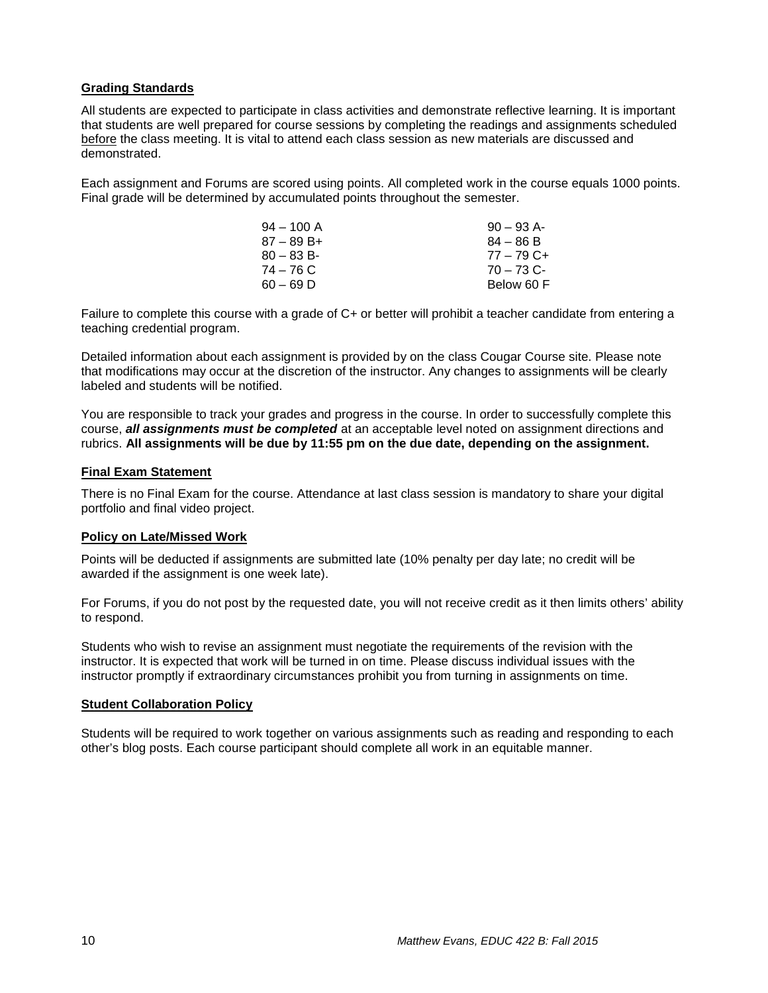#### <span id="page-9-0"></span>**Grading Standards**

All students are expected to participate in class activities and demonstrate reflective learning. It is important that students are well prepared for course sessions by completing the readings and assignments scheduled before the class meeting. It is vital to attend each class session as new materials are discussed and demonstrated.

Each assignment and Forums are scored using points. All completed work in the course equals 1000 points. Final grade will be determined by accumulated points throughout the semester.

| $90 - 93$ A- |
|--------------|
| $84 - 86 B$  |
| $77 - 79$ C+ |
| $70 - 73$ C- |
| Below 60 F   |
|              |

Failure to complete this course with a grade of C+ or better will prohibit a teacher candidate from entering a teaching credential program.

Detailed information about each assignment is provided by on the class Cougar Course site. Please note that modifications may occur at the discretion of the instructor. Any changes to assignments will be clearly labeled and students will be notified.

You are responsible to track your grades and progress in the course. In order to successfully complete this course, *all assignments must be completed* at an acceptable level noted on assignment directions and rubrics. **All assignments will be due by 11:55 pm on the due date, depending on the assignment.** 

#### <span id="page-9-1"></span>**Final Exam Statement**

There is no Final Exam for the course. Attendance at last class session is mandatory to share your digital portfolio and final video project.

#### <span id="page-9-2"></span>**Policy on Late/Missed Work**

Points will be deducted if assignments are submitted late (10% penalty per day late; no credit will be awarded if the assignment is one week late).

For Forums, if you do not post by the requested date, you will not receive credit as it then limits others' ability to respond.

Students who wish to revise an assignment must negotiate the requirements of the revision with the instructor. It is expected that work will be turned in on time. Please discuss individual issues with the instructor promptly if extraordinary circumstances prohibit you from turning in assignments on time.

#### **Student Collaboration Policy**

Students will be required to work together on various assignments such as reading and responding to each other's blog posts. Each course participant should complete all work in an equitable manner.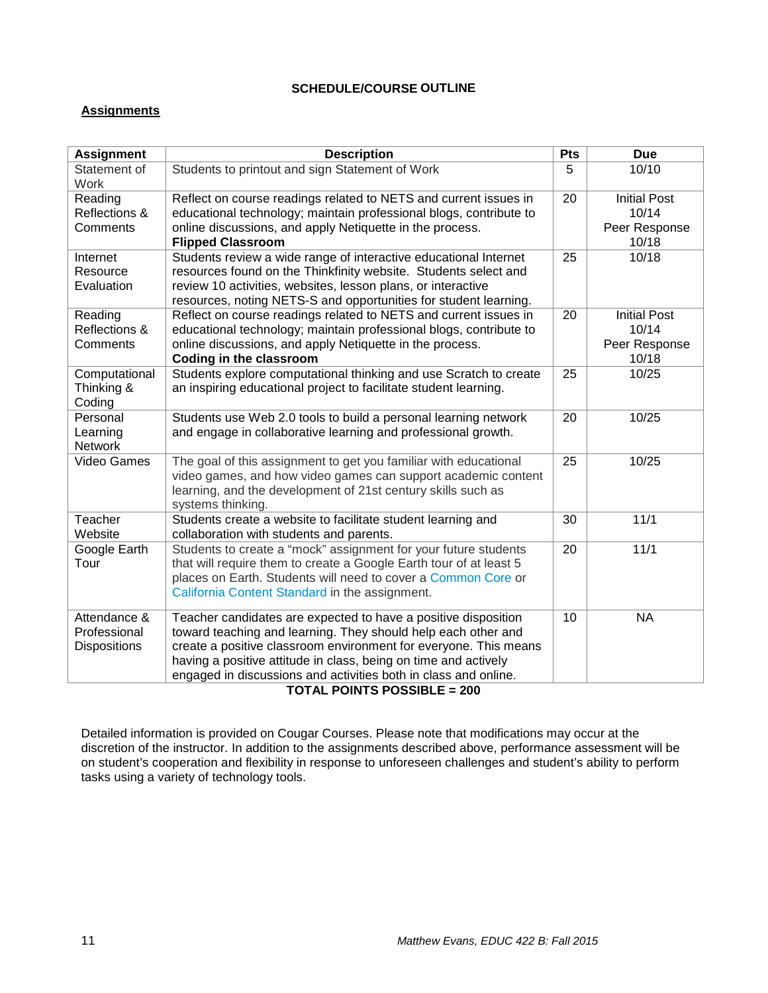## **SCHEDULE/COURSE OUTLINE**

### <span id="page-10-1"></span><span id="page-10-0"></span>**Assignments**

| <b>Assignment</b>    | <b>Description</b>                                                                                  | Pts | <b>Due</b>             |
|----------------------|-----------------------------------------------------------------------------------------------------|-----|------------------------|
| Statement of<br>Work | Students to printout and sign Statement of Work                                                     |     | 10/10                  |
| Reading              | Reflect on course readings related to NETS and current issues in                                    |     | <b>Initial Post</b>    |
| Reflections &        | educational technology; maintain professional blogs, contribute to                                  |     | 10/14                  |
| Comments             | online discussions, and apply Netiquette in the process.                                            |     | Peer Response          |
|                      | <b>Flipped Classroom</b>                                                                            |     | 10/18                  |
| Internet             | Students review a wide range of interactive educational Internet                                    | 25  | 10/18                  |
| Resource             | resources found on the Thinkfinity website. Students select and                                     |     |                        |
| Evaluation           | review 10 activities, websites, lesson plans, or interactive                                        |     |                        |
|                      | resources, noting NETS-S and opportunities for student learning.                                    |     |                        |
| Reading              | Reflect on course readings related to NETS and current issues in                                    | 20  | <b>Initial Post</b>    |
| Reflections &        | educational technology; maintain professional blogs, contribute to                                  |     | 10/14                  |
| Comments             | online discussions, and apply Netiquette in the process.                                            |     | Peer Response<br>10/18 |
| Computational        | <b>Coding in the classroom</b><br>Students explore computational thinking and use Scratch to create | 25  | 10/25                  |
| Thinking &           | an inspiring educational project to facilitate student learning.                                    |     |                        |
| Coding               |                                                                                                     |     |                        |
| Personal             | Students use Web 2.0 tools to build a personal learning network                                     | 20  | 10/25                  |
| Learning             | and engage in collaborative learning and professional growth.                                       |     |                        |
| <b>Network</b>       |                                                                                                     |     |                        |
| Video Games          | The goal of this assignment to get you familiar with educational                                    | 25  | 10/25                  |
|                      | video games, and how video games can support academic content                                       |     |                        |
|                      | learning, and the development of 21st century skills such as                                        |     |                        |
|                      | systems thinking.                                                                                   |     |                        |
| Teacher              | Students create a website to facilitate student learning and                                        | 30  | 11/1                   |
| Website              | collaboration with students and parents.                                                            |     |                        |
| Google Earth         | Students to create a "mock" assignment for your future students                                     | 20  | 11/1                   |
| Tour                 | that will require them to create a Google Earth tour of at least 5                                  |     |                        |
|                      | places on Earth. Students will need to cover a Common Core or                                       |     |                        |
|                      | California Content Standard in the assignment.                                                      |     |                        |
| Attendance &         | Teacher candidates are expected to have a positive disposition                                      | 10  | <b>NA</b>              |
| Professional         | toward teaching and learning. They should help each other and                                       |     |                        |
| <b>Dispositions</b>  | create a positive classroom environment for everyone. This means                                    |     |                        |
|                      | having a positive attitude in class, being on time and actively                                     |     |                        |
|                      | engaged in discussions and activities both in class and online.                                     |     |                        |

#### **TOTAL POINTS POSSIBLE = 200**

Detailed information is provided on Cougar Courses. Please note that modifications may occur at the discretion of the instructor. In addition to the assignments described above, performance assessment will be on student's cooperation and flexibility in response to unforeseen challenges and student's ability to perform tasks using a variety of technology tools.